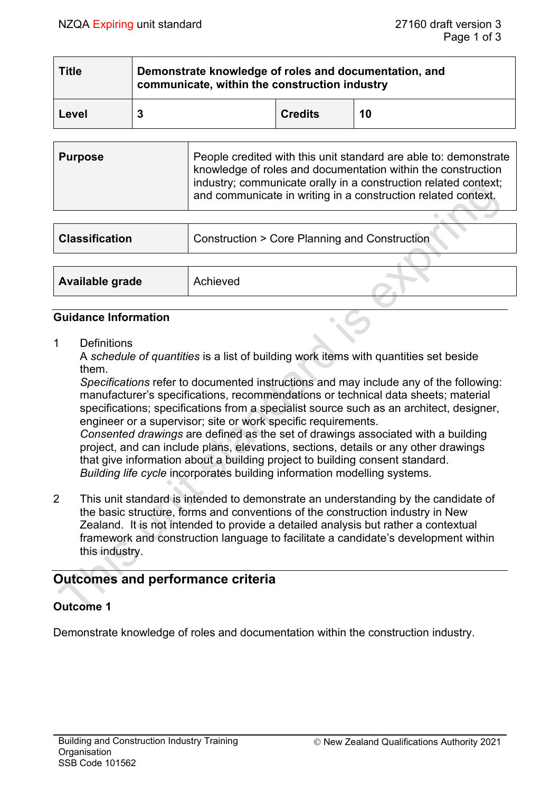| <b>Title</b> | Demonstrate knowledge of roles and documentation, and<br>communicate, within the construction industry |                |    |  |  |
|--------------|--------------------------------------------------------------------------------------------------------|----------------|----|--|--|
| Level        | 3                                                                                                      | <b>Credits</b> | 10 |  |  |

| <b>Purpose</b> | People credited with this unit standard are able to: demonstrate<br>knowledge of roles and documentation within the construction<br>industry; communicate orally in a construction related context;<br>and communicate in writing in a construction related context. |
|----------------|----------------------------------------------------------------------------------------------------------------------------------------------------------------------------------------------------------------------------------------------------------------------|
|                |                                                                                                                                                                                                                                                                      |

| <b>Classification</b>  | <b>Construction &gt; Core Planning and Construction</b> |  |
|------------------------|---------------------------------------------------------|--|
|                        |                                                         |  |
| <b>Available grade</b> | Achieved                                                |  |

### **Guidance Information**

1 Definitions

A *schedule of quantities* is a list of building work items with quantities set beside them.

*Specifications* refer to documented instructions and may include any of the following: manufacturer's specifications, recommendations or technical data sheets; material specifications; specifications from a specialist source such as an architect, designer, engineer or a supervisor; site or work specific requirements.

*Consented drawings* are defined as the set of drawings associated with a building project, and can include plans, elevations, sections, details or any other drawings that give information about a building project to building consent standard. *Building life cycle* incorporates building information modelling systems.

2 This unit standard is intended to demonstrate an understanding by the candidate of the basic structure, forms and conventions of the construction industry in New Zealand. It is not intended to provide a detailed analysis but rather a contextual framework and construction language to facilitate a candidate's development within this industry.

# **Outcomes and performance criteria**

# **Outcome 1**

Demonstrate knowledge of roles and documentation within the construction industry.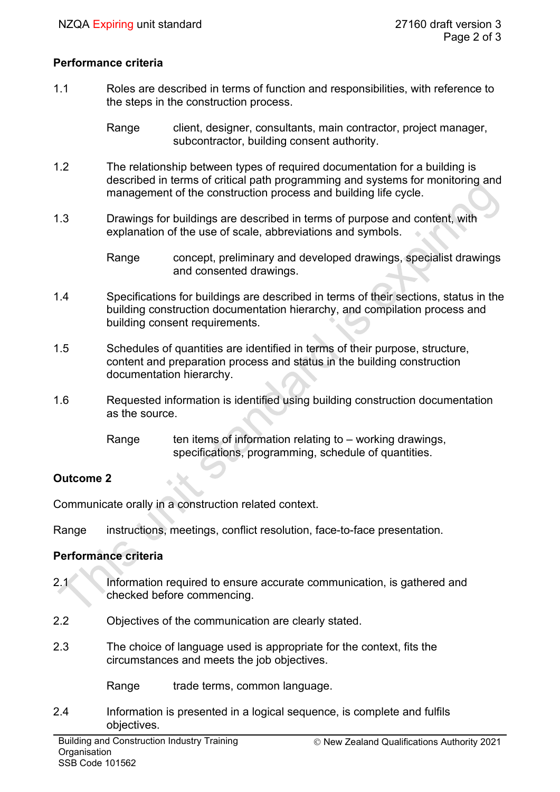## **Performance criteria**

1.1 Roles are described in terms of function and responsibilities, with reference to the steps in the construction process.

> Range client, designer, consultants, main contractor, project manager, subcontractor, building consent authority.

- 1.2 The relationship between types of required documentation for a building is described in terms of critical path programming and systems for monitoring and management of the construction process and building life cycle.
- 1.3 Drawings for buildings are described in terms of purpose and content, with explanation of the use of scale, abbreviations and symbols.

Range concept, preliminary and developed drawings, specialist drawings and consented drawings.

- 1.4 Specifications for buildings are described in terms of their sections, status in the building construction documentation hierarchy, and compilation process and building consent requirements.
- 1.5 Schedules of quantities are identified in terms of their purpose, structure, content and preparation process and status in the building construction documentation hierarchy.
- 1.6 Requested information is identified using building construction documentation as the source.
	- Range ten items of information relating to working drawings, specifications, programming, schedule of quantities.

# **Outcome 2**

Communicate orally in a construction related context.

Range instructions, meetings, conflict resolution, face-to-face presentation.

# **Performance criteria**

- 2.1 Information required to ensure accurate communication, is gathered and checked before commencing.
- 2.2 Objectives of the communication are clearly stated.
- 2.3 The choice of language used is appropriate for the context, fits the circumstances and meets the job objectives.

Range trade terms, common language.

2.4 Information is presented in a logical sequence, is complete and fulfils objectives.